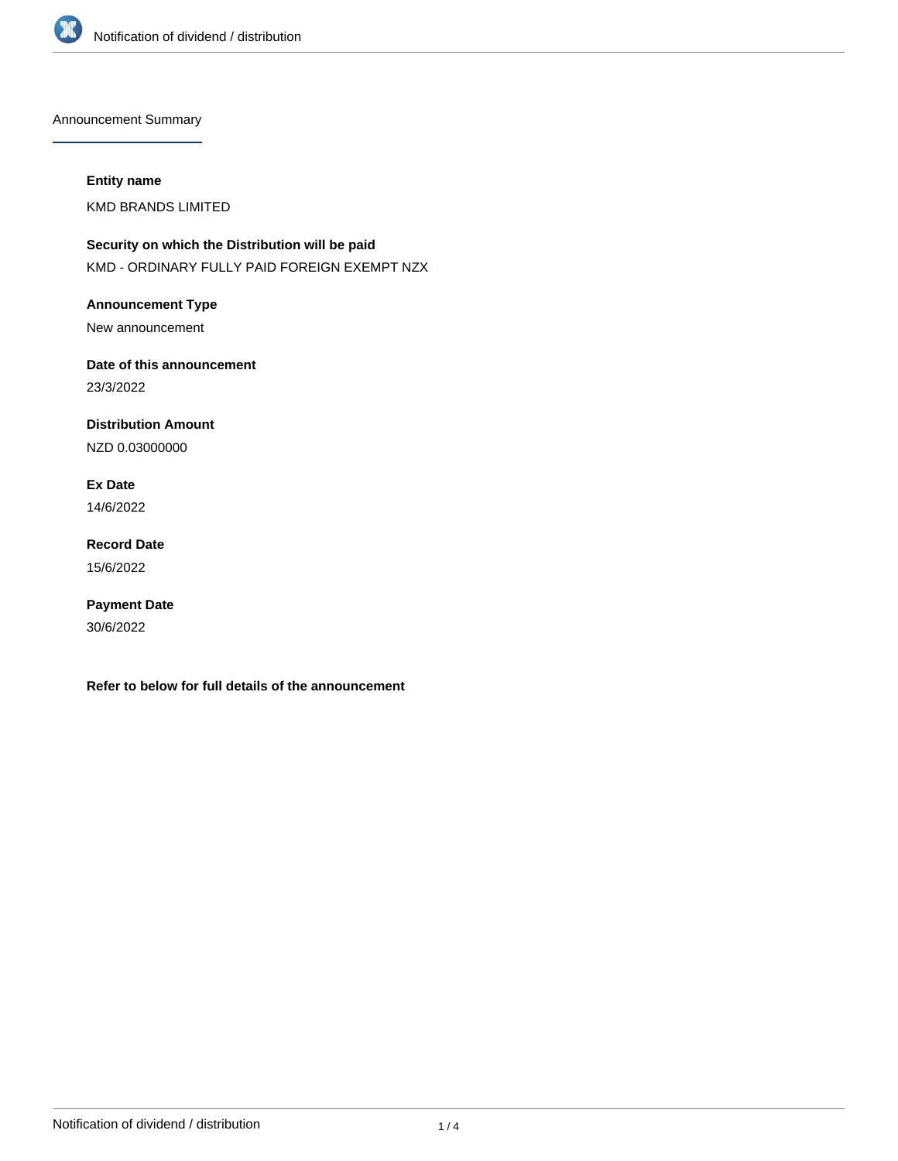

Announcement Summary

## **Entity name**

KMD BRANDS LIMITED

**Security on which the Distribution will be paid** KMD - ORDINARY FULLY PAID FOREIGN EXEMPT NZX

**Announcement Type**

New announcement

**Date of this announcement** 23/3/2022

**Distribution Amount**

NZD 0.03000000

**Ex Date** 14/6/2022

**Record Date** 15/6/2022

**Payment Date** 30/6/2022

**Refer to below for full details of the announcement**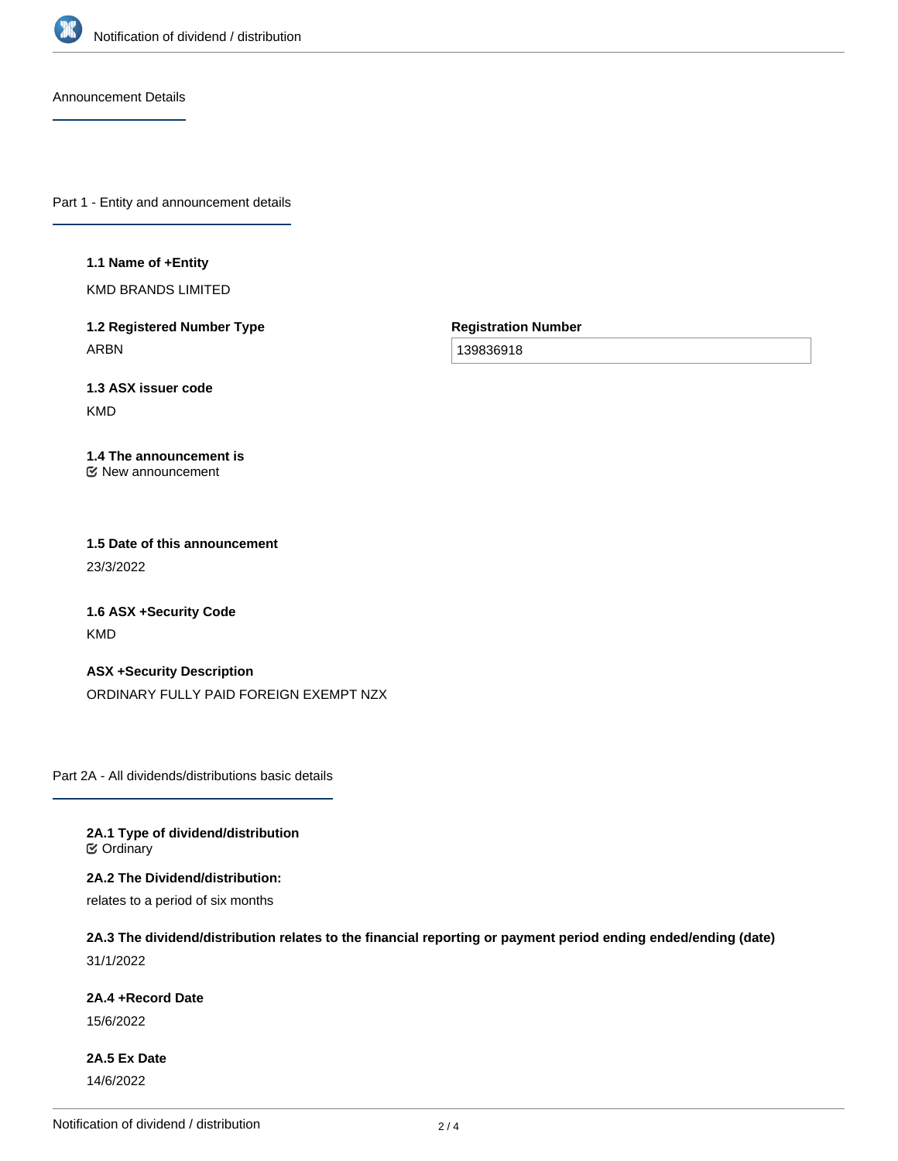

Announcement Details

Part 1 - Entity and announcement details

### **1.1 Name of +Entity**

KMD BRANDS LIMITED

**1.2 Registered Number Type** ARBN

**Registration Number**

139836918

**1.3 ASX issuer code**

KMD

### **1.4 The announcement is** New announcement

**1.5 Date of this announcement** 23/3/2022

**1.6 ASX +Security Code** KMD

**ASX +Security Description** ORDINARY FULLY PAID FOREIGN EXEMPT NZX

Part 2A - All dividends/distributions basic details

**2A.1 Type of dividend/distribution C** Ordinary

**2A.2 The Dividend/distribution:**

relates to a period of six months

**2A.3 The dividend/distribution relates to the financial reporting or payment period ending ended/ending (date)** 31/1/2022

### **2A.4 +Record Date**

15/6/2022

**2A.5 Ex Date** 14/6/2022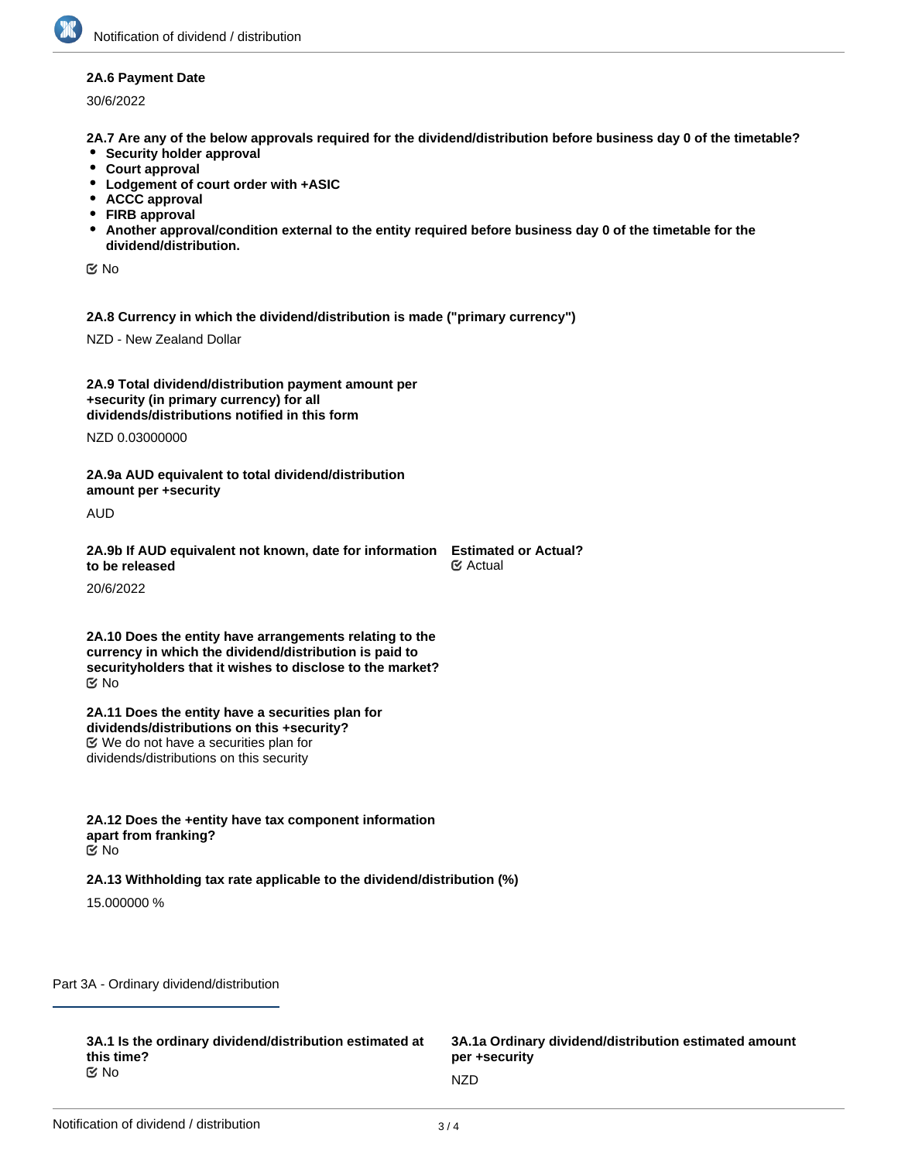## **2A.6 Payment Date**

30/6/2022

**2A.7 Are any of the below approvals required for the dividend/distribution before business day 0 of the timetable?**

- **Security holder approval**
- **Court approval**
- **Lodgement of court order with +ASIC**
- **ACCC approval**
- **FIRB approval**
- **Another approval/condition external to the entity required before business day 0 of the timetable for the dividend/distribution.**

No

**2A.8 Currency in which the dividend/distribution is made ("primary currency")**

NZD - New Zealand Dollar

| 2A.9 Total dividend/distribution payment amount per |  |
|-----------------------------------------------------|--|
| +security (in primary currency) for all             |  |
| dividends/distributions notified in this form       |  |

NZD 0.03000000

**2A.9a AUD equivalent to total dividend/distribution amount per +security**

AUD

| 2A.9b If AUD equivalent not known, date for information Estimated or Actual? |                 |
|------------------------------------------------------------------------------|-----------------|
| to be released                                                               | <b>ີ</b> Actual |

20/6/2022

**2A.10 Does the entity have arrangements relating to the currency in which the dividend/distribution is paid to securityholders that it wishes to disclose to the market?** No

**2A.11 Does the entity have a securities plan for dividends/distributions on this +security?** We do not have a securities plan for dividends/distributions on this security

**2A.12 Does the +entity have tax component information apart from franking?** No

# **2A.13 Withholding tax rate applicable to the dividend/distribution (%)**

15.000000 %

Part 3A - Ordinary dividend/distribution

**3A.1 Is the ordinary dividend/distribution estimated at this time?** No new participants are the contract of the NZD  $NZD$ 

**3A.1a Ordinary dividend/distribution estimated amount per +security**